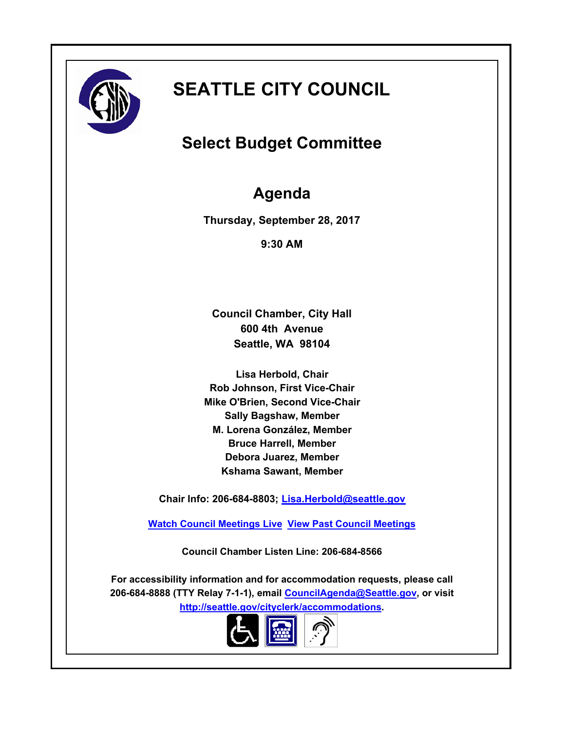

# **SEATTLE CITY COUNCIL**

## **Select Budget Committee**

## **Agenda**

**Thursday, September 28, 2017**

**9:30 AM**

**Council Chamber, City Hall 600 4th Avenue Seattle, WA 98104**

**Lisa Herbold, Chair Rob Johnson, First Vice-Chair Mike O'Brien, Second Vice-Chair Sally Bagshaw, Member M. Lorena González, Member Bruce Harrell, Member Debora Juarez, Member Kshama Sawant, Member**

**Chair Info: 206-684-8803; [Lisa.Herbold@seattle.gov](mailto:Lisa.Herbold@seattle.gov)**

**[Watch Council Meetings Live](http://www.seattle.gov/council/councillive.htm) [View Past Council Meetings](http://www.seattlechannel.org/videos/browseVideos.asp?topic=council)**

**Council Chamber Listen Line: 206-684-8566**

**For accessibility information and for accommodation requests, please call 206-684-8888 (TTY Relay 7-1-1), email [CouncilAgenda@Seattle.gov](mailto: Council.Agenda@seattle.gov), or visit <http://seattle.gov/cityclerk/accommodations>.**

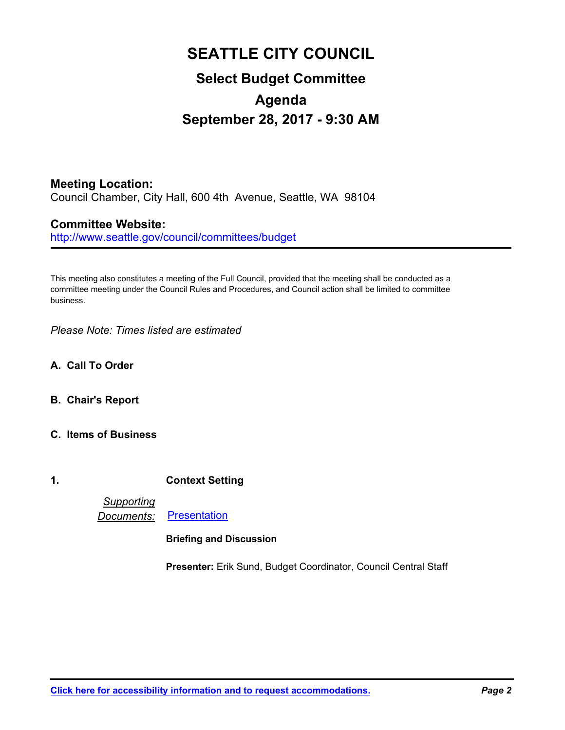## **SEATTLE CITY COUNCIL Select Budget Committee Agenda September 28, 2017 - 9:30 AM**

**Meeting Location:** Council Chamber, City Hall, 600 4th Avenue, Seattle, WA 98104

## **Committee Website:**

http://www.seattle.gov/council/committees/budget

This meeting also constitutes a meeting of the Full Council, provided that the meeting shall be conducted as a committee meeting under the Council Rules and Procedures, and Council action shall be limited to committee business.

*Please Note: Times listed are estimated*

- **A. Call To Order**
- **B. Chair's Report**
- **C. Items of Business**
- **1. Context Setting**

*Supporting Documents:* [Presentation](http://seattle.legistar.com/gateway.aspx?M=F&ID=f8f0d898-5257-42f9-b304-7dabd98d0fdb.pdf)

### **Briefing and Discussion**

**Presenter:** Erik Sund, Budget Coordinator, Council Central Staff